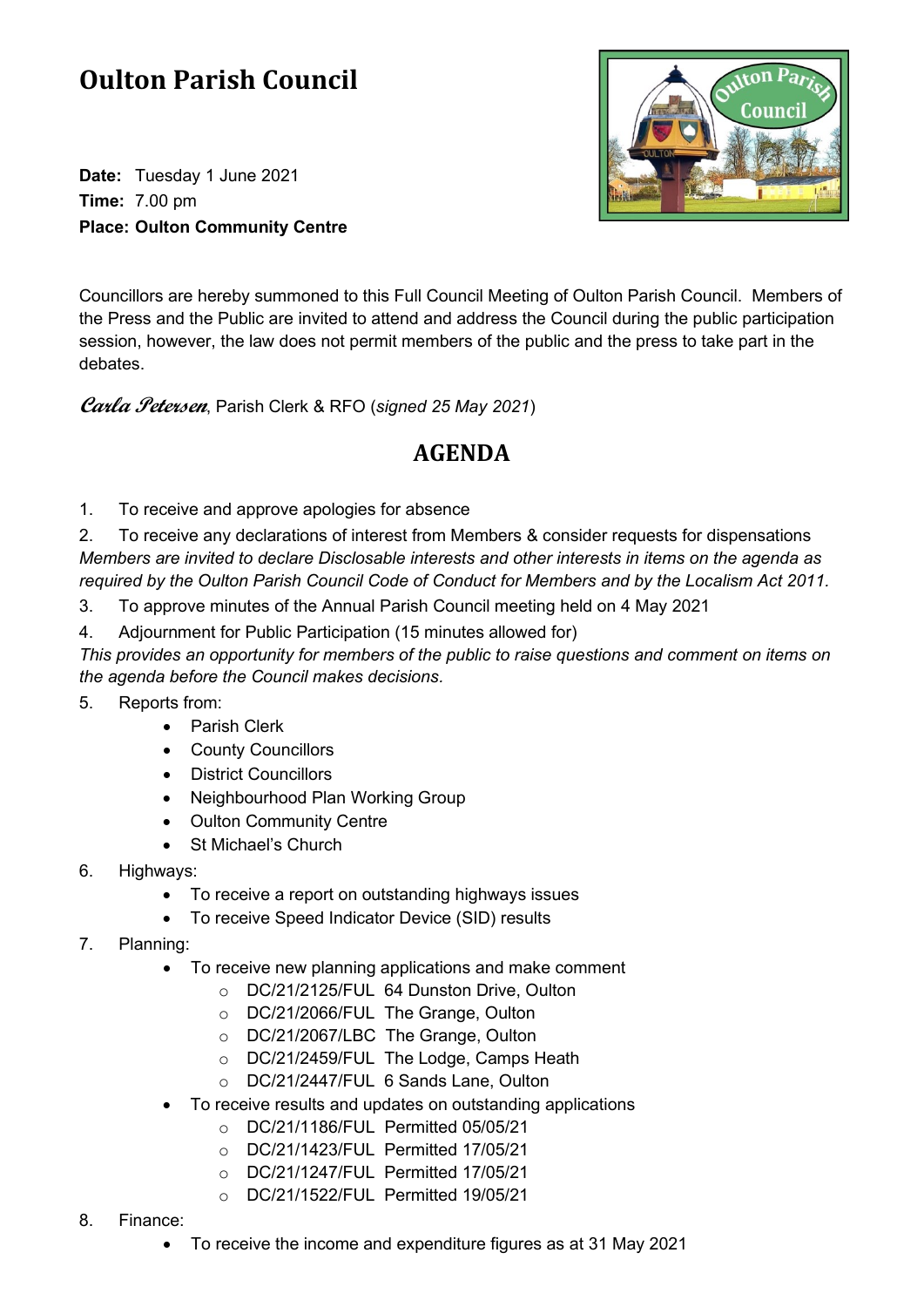## **Oulton Parish Council**

**Date:** Tuesday 1 June 2021 **Time:** 7.00 pm **Place: Oulton Community Centre**



Councillors are hereby summoned to this Full Council Meeting of Oulton Parish Council. Members of the Press and the Public are invited to attend and address the Council during the public participation session, however, the law does not permit members of the public and the press to take part in the debates.

**Carla Petersen**, Parish Clerk & RFO (*signed 25 May 2021*)

## **AGENDA**

1. To receive and approve apologies for absence

2. To receive any declarations of interest from Members & consider requests for dispensations *Members are invited to declare Disclosable interests and other interests in items on the agenda as required by the Oulton Parish Council Code of Conduct for Members and by the Localism Act 2011.*

- 3. To approve minutes of the Annual Parish Council meeting held on 4 May 2021
- 4. Adjournment for Public Participation (15 minutes allowed for)

*This provides an opportunity for members of the public to raise questions and comment on items on the agenda before the Council makes decisions.*

- 5. Reports from:
	- Parish Clerk
	- County Councillors
	- District Councillors
	- Neighbourhood Plan Working Group
	- Oulton Community Centre
	- St Michael's Church
- 6. Highways:
	- To receive a report on outstanding highways issues
	- To receive Speed Indicator Device (SID) results
- 7. Planning:
	- To receive new planning applications and make comment
		- o DC/21/2125/FUL 64 Dunston Drive, Oulton
		- o DC/21/2066/FUL The Grange, Oulton
		- o DC/21/2067/LBC The Grange, Oulton
		- o DC/21/2459/FUL The Lodge, Camps Heath
		- o DC/21/2447/FUL 6 Sands Lane, Oulton
	- To receive results and updates on outstanding applications
		- o DC/21/1186/FUL Permitted 05/05/21
		- o DC/21/1423/FUL Permitted 17/05/21
		- o DC/21/1247/FUL Permitted 17/05/21
		- o DC/21/1522/FUL Permitted 19/05/21
- 8. Finance:
	- To receive the income and expenditure figures as at 31 May 2021